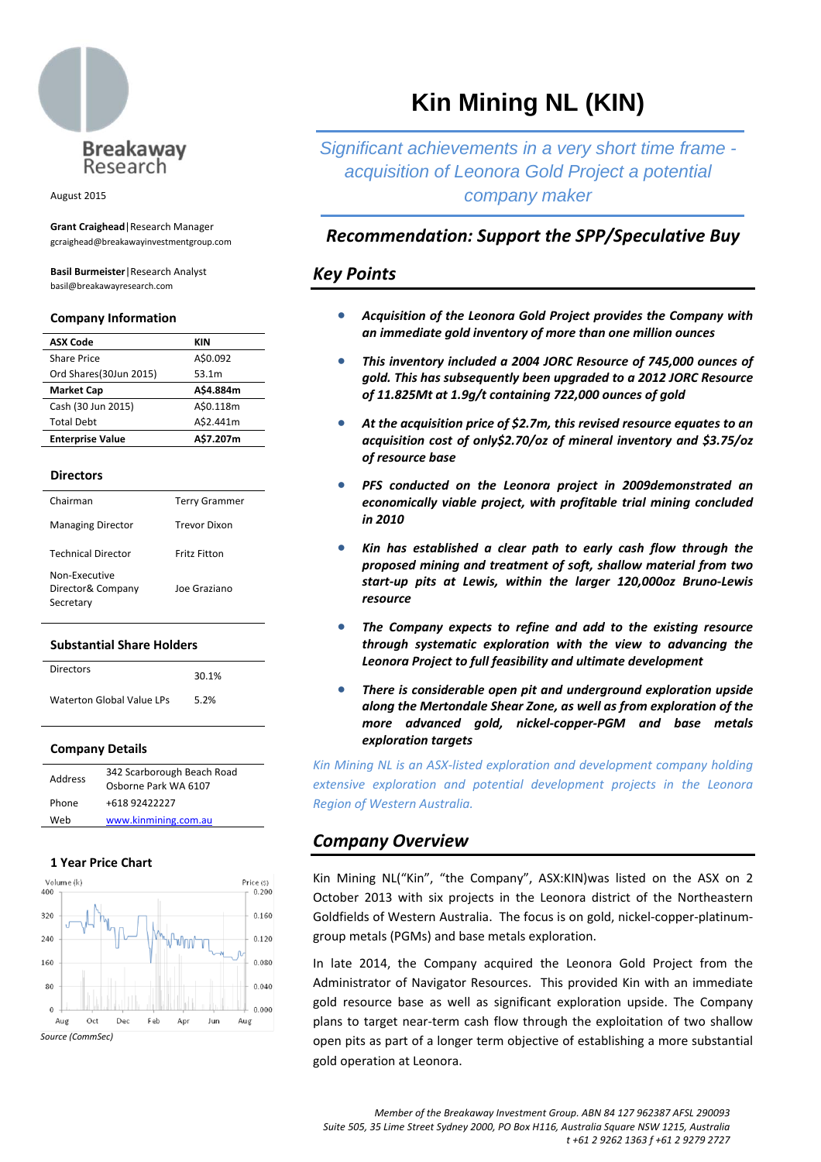

August 2015

**Grant Craighead**|Research Manager gcraighead@breakawayinvestmentgroup.com

**Basil Burmeister**|Research Analyst basil@breakawayresearch.com

#### **Company Information**

| <b>ASX Code</b>         | KIN       |
|-------------------------|-----------|
| Share Price             | A\$0.092  |
| Ord Shares(30Jun 2015)  | 53.1m     |
| <b>Market Cap</b>       | A\$4.884m |
| Cash (30 Jun 2015)      | A\$0.118m |
| <b>Total Debt</b>       | A\$2.441m |
| <b>Enterprise Value</b> | A\$7.207m |

#### **Directors**

| Chairman                                        | <b>Terry Grammer</b> |
|-------------------------------------------------|----------------------|
| <b>Managing Director</b>                        | <b>Trevor Dixon</b>  |
| <b>Technical Director</b>                       | Fritz Fitton         |
| Non-Executive<br>Director& Company<br>Secretary | Joe Graziano         |

#### **Substantial Share Holders**

| Directors                 | 30.1% |  |  |  |
|---------------------------|-------|--|--|--|
| Waterton Global Value LPs | 5.2%  |  |  |  |

#### **Company Details**

| Address | 342 Scarborough Beach Road<br>Osborne Park WA 6107 |
|---------|----------------------------------------------------|
| Phone   | +618 92422227                                      |
| Weh     | www.kinmining.com.au                               |

#### **1 Year Price Chart**



# **Kin Mining NL (KIN)**

*Significant achievements in a very short time frame acquisition of Leonora Gold Project a potential company maker* 

# *Recommendation: Support the SPP/Speculative Buy*

# *Key Points*

- *Acquisition of the Leonora Gold Project provides the Company with an immediate gold inventory of more than one million ounces*
- *This inventory included a 2004 JORC Resource of 745,000 ounces of gold. This has subsequently been upgraded to a 2012 JORC Resource of 11.825Mt at 1.9g/t containing 722,000 ounces of gold*
- *At the acquisition price of \$2.7m, this revised resource equates to an acquisition cost of only\$2.70/oz of mineral inventory and \$3.75/oz of resource base*
- *PFS conducted on the Leonora project in 2009demonstrated an economically viable project, with profitable trial mining concluded in 2010*
- *Kin has established a clear path to early cash flow through the proposed mining and treatment of soft, shallow material from two start‐up pits at Lewis, within the larger 120,000oz Bruno‐Lewis resource*
- *The Company expects to refine and add to the existing resource through systematic exploration with the view to advancing the Leonora Project to full feasibility and ultimate development*
- *There is considerable open pit and underground exploration upside along the Mertondale Shear Zone, as well as from exploration of the more advanced gold, nickel‐copper‐PGM and base metals exploration targets*

*Kin Mining NL is an ASX‐listed exploration and development company holding extensive exploration and potential development projects in the Leonora Region of Western Australia.*

# *Company Overview*

Kin Mining NL("Kin", "the Company", ASX:KIN)was listed on the ASX on 2 October 2013 with six projects in the Leonora district of the Northeastern Goldfields of Western Australia. The focus is on gold, nickel‐copper‐platinum‐ group metals (PGMs) and base metals exploration.

In late 2014, the Company acquired the Leonora Gold Project from the Administrator of Navigator Resources. This provided Kin with an immediate gold resource base as well as significant exploration upside. The Company plans to target near‐term cash flow through the exploitation of two shallow open pits as part of a longer term objective of establishing a more substantial gold operation at Leonora.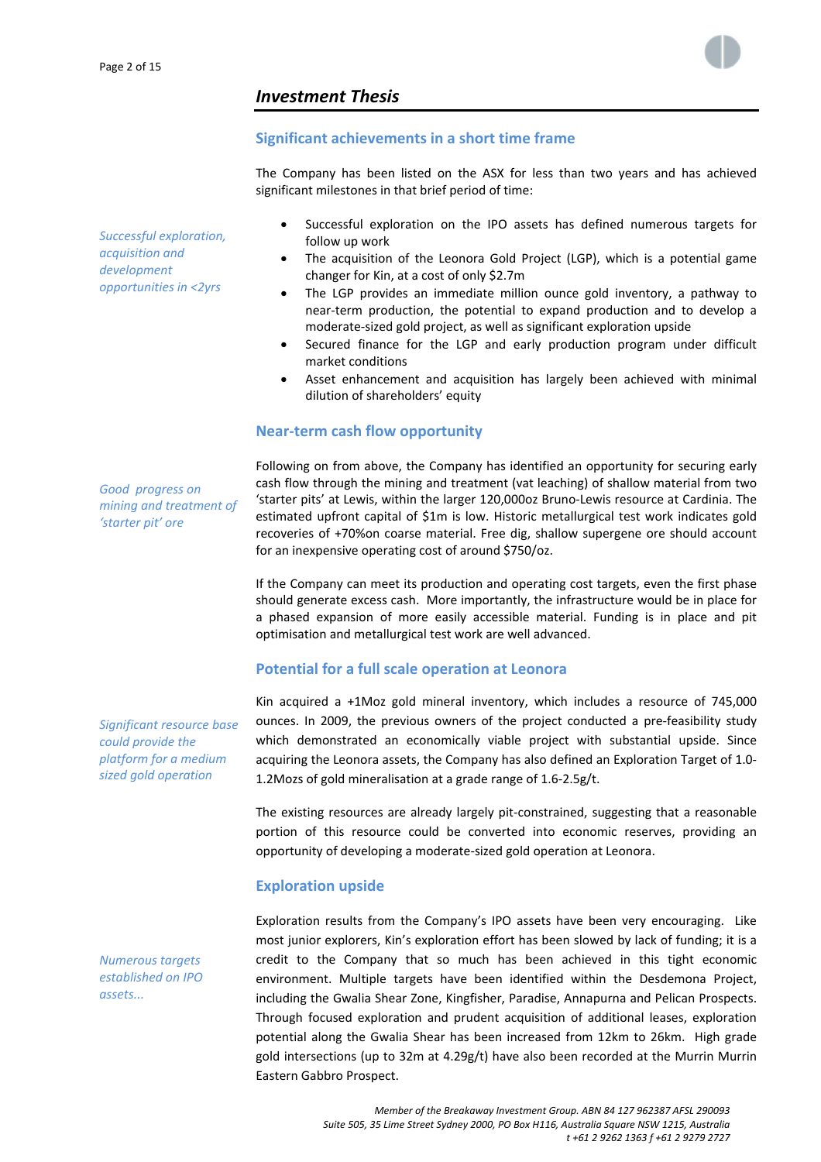

# *Investment Thesis*

### **Significant achievements in a short time frame**

The Company has been listed on the ASX for less than two years and has achieved significant milestones in that brief period of time:

*Successful exploration, acquisition and development opportunities in <2yrs*

- Successful exploration on the IPO assets has defined numerous targets for follow up work
- The acquisition of the Leonora Gold Project (LGP), which is a potential game changer for Kin, at a cost of only \$2.7m
- The LGP provides an immediate million ounce gold inventory, a pathway to near‐term production, the potential to expand production and to develop a moderate‐sized gold project, as well as significant exploration upside
- Secured finance for the LGP and early production program under difficult market conditions
- Asset enhancement and acquisition has largely been achieved with minimal dilution of shareholders' equity

#### **Near‐term cash flow opportunity**

*Good progress on mining and treatment of 'starter pit' ore*

Following on from above, the Company has identified an opportunity for securing early cash flow through the mining and treatment (vat leaching) of shallow material from two 'starter pits' at Lewis, within the larger 120,000oz Bruno‐Lewis resource at Cardinia. The estimated upfront capital of \$1m is low. Historic metallurgical test work indicates gold recoveries of +70%on coarse material. Free dig, shallow supergene ore should account for an inexpensive operating cost of around \$750/oz.

If the Company can meet its production and operating cost targets, even the first phase should generate excess cash. More importantly, the infrastructure would be in place for a phased expansion of more easily accessible material. Funding is in place and pit optimisation and metallurgical test work are well advanced.

# **Potential for a full scale operation at Leonora**

Kin acquired a +1Moz gold mineral inventory, which includes a resource of 745,000 ounces. In 2009, the previous owners of the project conducted a pre‐feasibility study which demonstrated an economically viable project with substantial upside. Since acquiring the Leonora assets, the Company has also defined an Exploration Target of 1.0‐ 1.2Mozs of gold mineralisation at a grade range of 1.6‐2.5g/t.

The existing resources are already largely pit-constrained, suggesting that a reasonable portion of this resource could be converted into economic reserves, providing an opportunity of developing a moderate‐sized gold operation at Leonora.

### **Exploration upside**

Exploration results from the Company's IPO assets have been very encouraging. Like most junior explorers, Kin's exploration effort has been slowed by lack of funding; it is a credit to the Company that so much has been achieved in this tight economic environment. Multiple targets have been identified within the Desdemona Project, including the Gwalia Shear Zone, Kingfisher, Paradise, Annapurna and Pelican Prospects. Through focused exploration and prudent acquisition of additional leases, exploration potential along the Gwalia Shear has been increased from 12km to 26km. High grade gold intersections (up to 32m at 4.29g/t) have also been recorded at the Murrin Murrin Eastern Gabbro Prospect.

*Significant resource base could provide the platform for a medium sized gold operation*

*Numerous targets established on IPO assets...*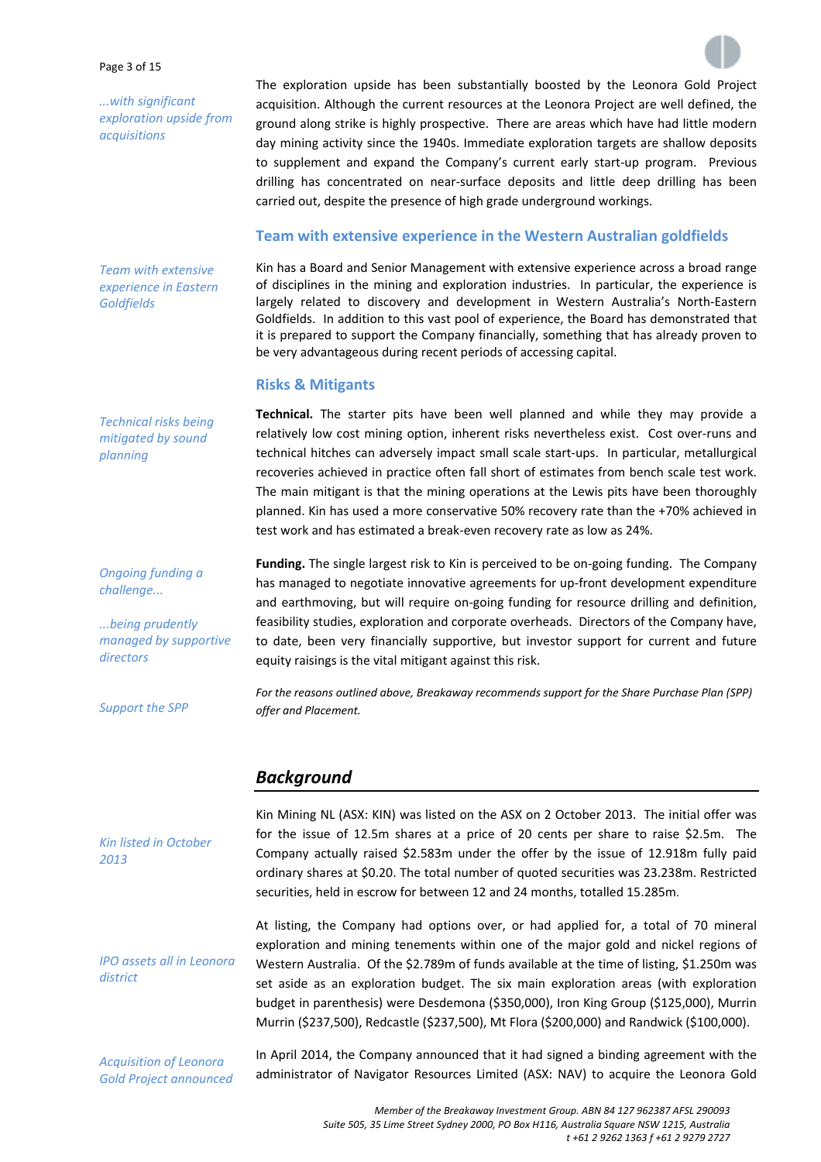#### Page 3 of 15

*...with significant exploration upside from acquisitions*

The exploration upside has been substantially boosted by the Leonora Gold Project acquisition. Although the current resources at the Leonora Project are well defined, the ground along strike is highly prospective. There are areas which have had little modern day mining activity since the 1940s. Immediate exploration targets are shallow deposits to supplement and expand the Company's current early start-up program. Previous drilling has concentrated on near‐surface deposits and little deep drilling has been carried out, despite the presence of high grade underground workings.

### **Team with extensive experience in the Western Australian goldfields**

Kin has a Board and Senior Management with extensive experience across a broad range of disciplines in the mining and exploration industries. In particular, the experience is largely related to discovery and development in Western Australia's North‐Eastern Goldfields. In addition to this vast pool of experience, the Board has demonstrated that it is prepared to support the Company financially, something that has already proven to be very advantageous during recent periods of accessing capital.

### **Risks & Mitigants**

**Technical.** The starter pits have been well planned and while they may provide a relatively low cost mining option, inherent risks nevertheless exist. Cost over‐runs and technical hitches can adversely impact small scale start‐ups. In particular, metallurgical recoveries achieved in practice often fall short of estimates from bench scale test work. The main mitigant is that the mining operations at the Lewis pits have been thoroughly planned. Kin has used a more conservative 50% recovery rate than the +70% achieved in test work and has estimated a break‐even recovery rate as low as 24%.

**Funding.** The single largest risk to Kin is perceived to be on‐going funding. The Company has managed to negotiate innovative agreements for up-front development expenditure and earthmoving, but will require on‐going funding for resource drilling and definition, feasibility studies, exploration and corporate overheads. Directors of the Company have, to date, been very financially supportive, but investor support for current and future equity raisings is the vital mitigant against this risk.

*For the reasons outlined above, Breakaway recommends support for the Share Purchase Plan (SPP) offer and Placement.*

# *Background*

*Kin listed in October 2013*

*IPO assets all in Leonora district*

*Acquisition of Leonora Gold Project announced*

Kin Mining NL (ASX: KIN) was listed on the ASX on 2 October 2013. The initial offer was for the issue of 12.5m shares at a price of 20 cents per share to raise \$2.5m. The Company actually raised \$2.583m under the offer by the issue of 12.918m fully paid ordinary shares at \$0.20. The total number of quoted securities was 23.238m. Restricted securities, held in escrow for between 12 and 24 months, totalled 15.285m.

At listing, the Company had options over, or had applied for, a total of 70 mineral exploration and mining tenements within one of the major gold and nickel regions of Western Australia. Of the \$2.789m of funds available at the time of listing, \$1.250m was set aside as an exploration budget. The six main exploration areas (with exploration budget in parenthesis) were Desdemona (\$350,000), Iron King Group (\$125,000), Murrin Murrin (\$237,500), Redcastle (\$237,500), Mt Flora (\$200,000) and Randwick (\$100,000).

In April 2014, the Company announced that it had signed a binding agreement with the administrator of Navigator Resources Limited (ASX: NAV) to acquire the Leonora Gold

*Technical risks being mitigated by sound planning*

*Team with extensive experience in Eastern*

*Goldfields*

*Ongoing funding a challenge...*

*...being prudently managed by supportive directors*

*Support the SPP*

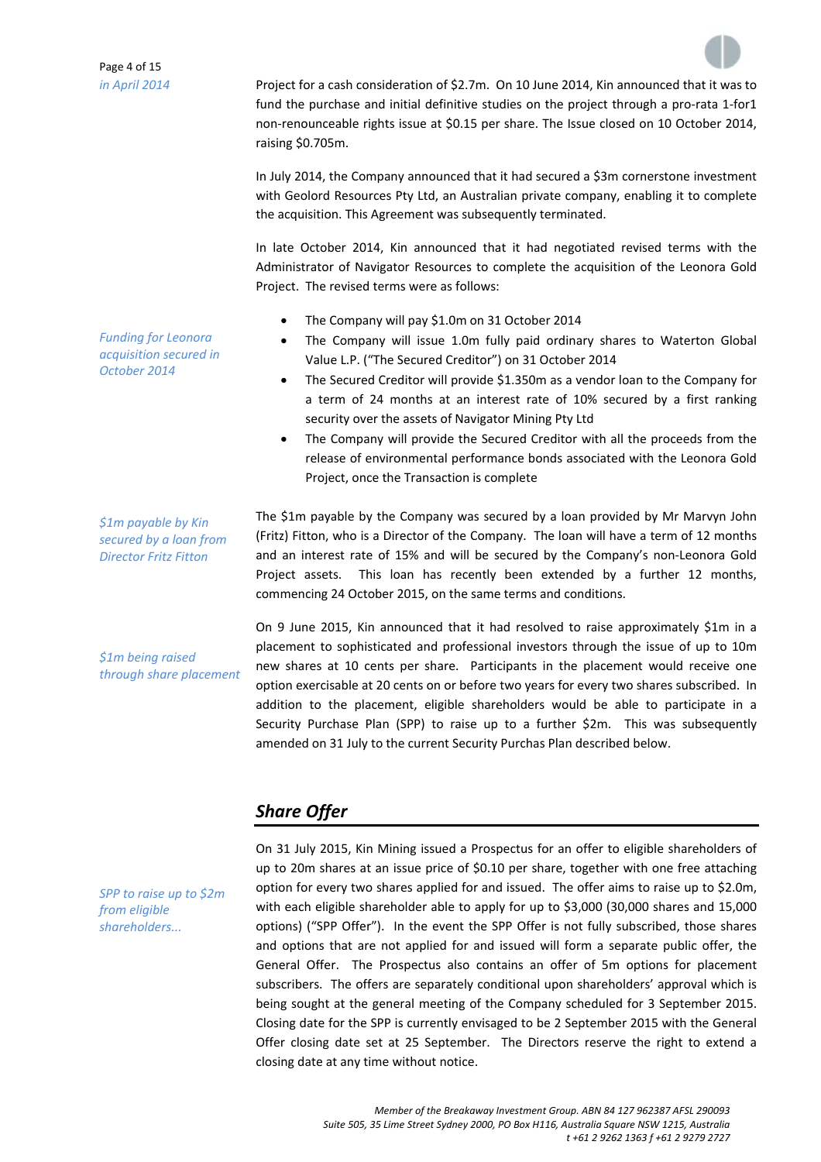

being sought at the general meeting of the Company scheduled for 3 September 2015. Closing date for the SPP is currently envisaged to be 2 September 2015 with the General Offer closing date set at 25 September. The Directors reserve the right to extend a

closing date at any time without notice.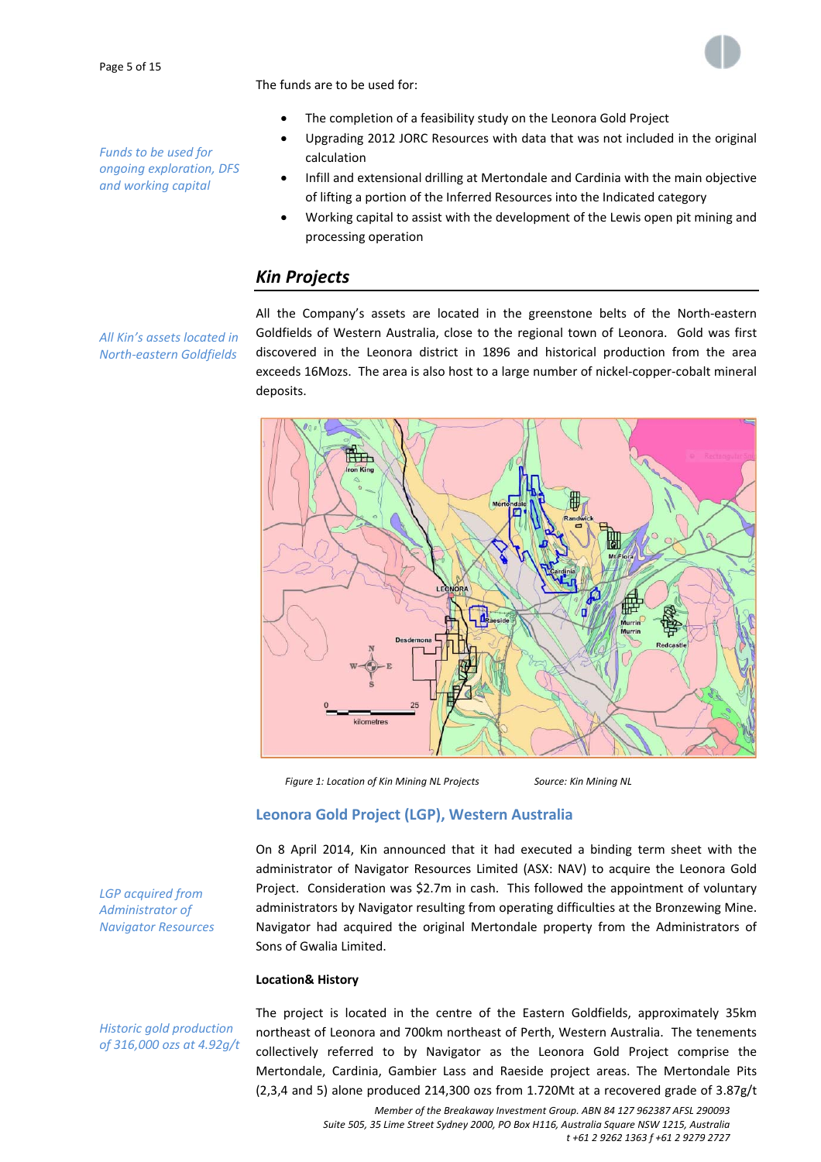*Funds to be used for ongoing exploration, DFS and working capital*





- The completion of a feasibility study on the Leonora Gold Project
- Upgrading 2012 JORC Resources with data that was not included in the original calculation
- Infill and extensional drilling at Mertondale and Cardinia with the main objective of lifting a portion of the Inferred Resources into the Indicated category
- Working capital to assist with the development of the Lewis open pit mining and processing operation

# *Kin Projects*

*All Kin's assets located in North‐eastern Goldfields*

All the Company's assets are located in the greenstone belts of the North‐eastern Goldfields of Western Australia, close to the regional town of Leonora. Gold was first discovered in the Leonora district in 1896 and historical production from the area exceeds 16Mozs. The area is also host to a large number of nickel‐copper‐cobalt mineral deposits.



*Figure 1: Location of Kin Mining NL Projects Source: Kin Mining NL*

# **Leonora Gold Project (LGP), Western Australia**

On 8 April 2014, Kin announced that it had executed a binding term sheet with the administrator of Navigator Resources Limited (ASX: NAV) to acquire the Leonora Gold Project. Consideration was \$2.7m in cash. This followed the appointment of voluntary administrators by Navigator resulting from operating difficulties at the Bronzewing Mine. Navigator had acquired the original Mertondale property from the Administrators of Sons of Gwalia Limited.

#### **Location& History**

*Historic gold production of 316,000 ozs at 4.92g/t*

*LGP acquired from Administrator of Navigator Resources*

> The project is located in the centre of the Eastern Goldfields, approximately 35km northeast of Leonora and 700km northeast of Perth, Western Australia. The tenements collectively referred to by Navigator as the Leonora Gold Project comprise the Mertondale, Cardinia, Gambier Lass and Raeside project areas. The Mertondale Pits (2,3,4 and 5) alone produced 214,300 ozs from 1.720Mt at a recovered grade of 3.87g/t

> > *Member of the Breakaway Investment Group. ABN 84 127 962387 AFSL 290093 Suite 505, 35 Lime Street Sydney 2000, PO Box H116, Australia Square NSW 1215, Australia t +61 2 9262 1363 f +61 2 9279 2727*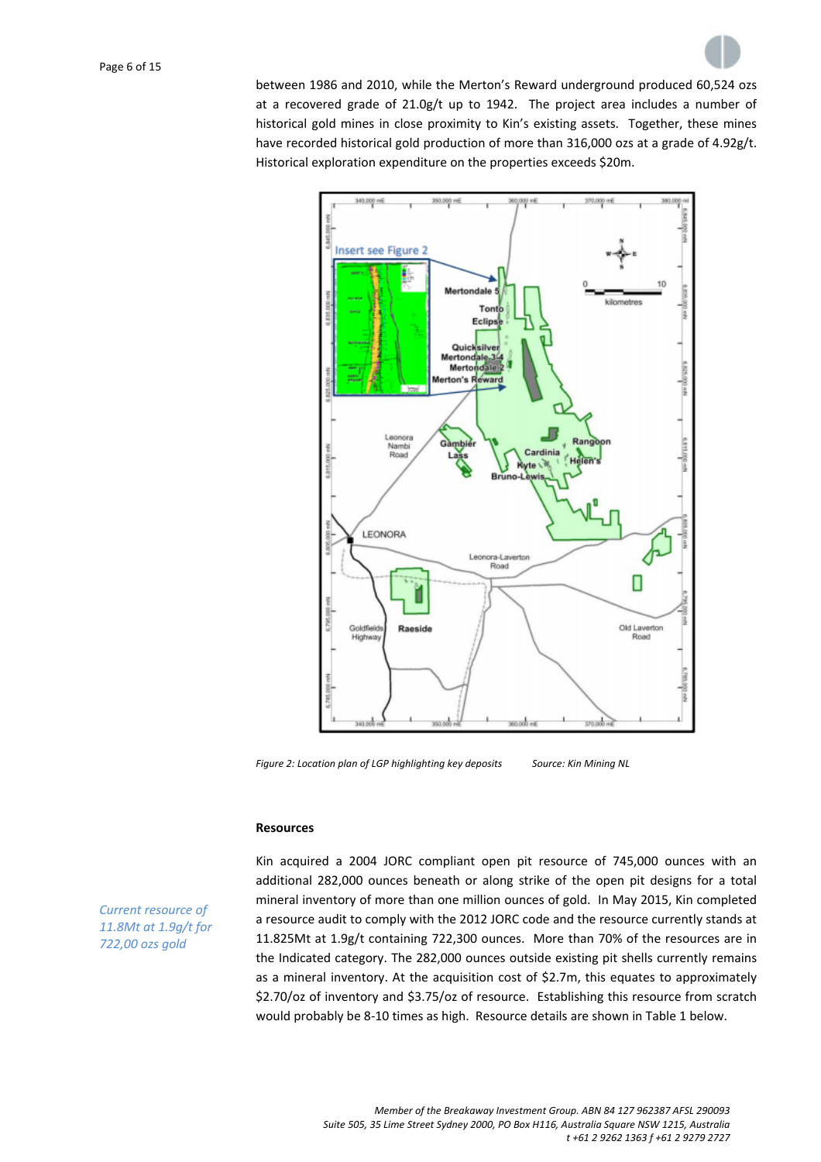between 1986 and 2010, while the Merton's Reward underground produced 60,524 ozs at a recovered grade of  $21.0g/t$  up to 1942. The project area includes a number of historical gold mines in close proximity to Kin's existing assets. Together, these mines have recorded historical gold production of more than 316,000 ozs at a grade of 4.92g/t. Historical exploration expenditure on the properties exceeds \$20m.



*Figure 2: Location plan of LGP highlighting key deposits Source: Kin Mining NL*

#### **Resources**

Kin acquired a 2004 JORC compliant open pit resource of 745,000 ounces with an additional 282,000 ounces beneath or along strike of the open pit designs for a total mineral inventory of more than one million ounces of gold. In May 2015, Kin completed a resource audit to comply with the 2012 JORC code and the resource currently stands at 11.825Mt at 1.9g/t containing 722,300 ounces. More than 70% of the resources are in the Indicated category. The 282,000 ounces outside existing pit shells currently remains as a mineral inventory. At the acquisition cost of \$2.7m, this equates to approximately \$2.70/oz of inventory and \$3.75/oz of resource. Establishing this resource from scratch would probably be 8‐10 times as high. Resource details are shown in Table 1 below.

*Current resource of 11.8Mt at 1.9g/t for 722,00 ozs gold*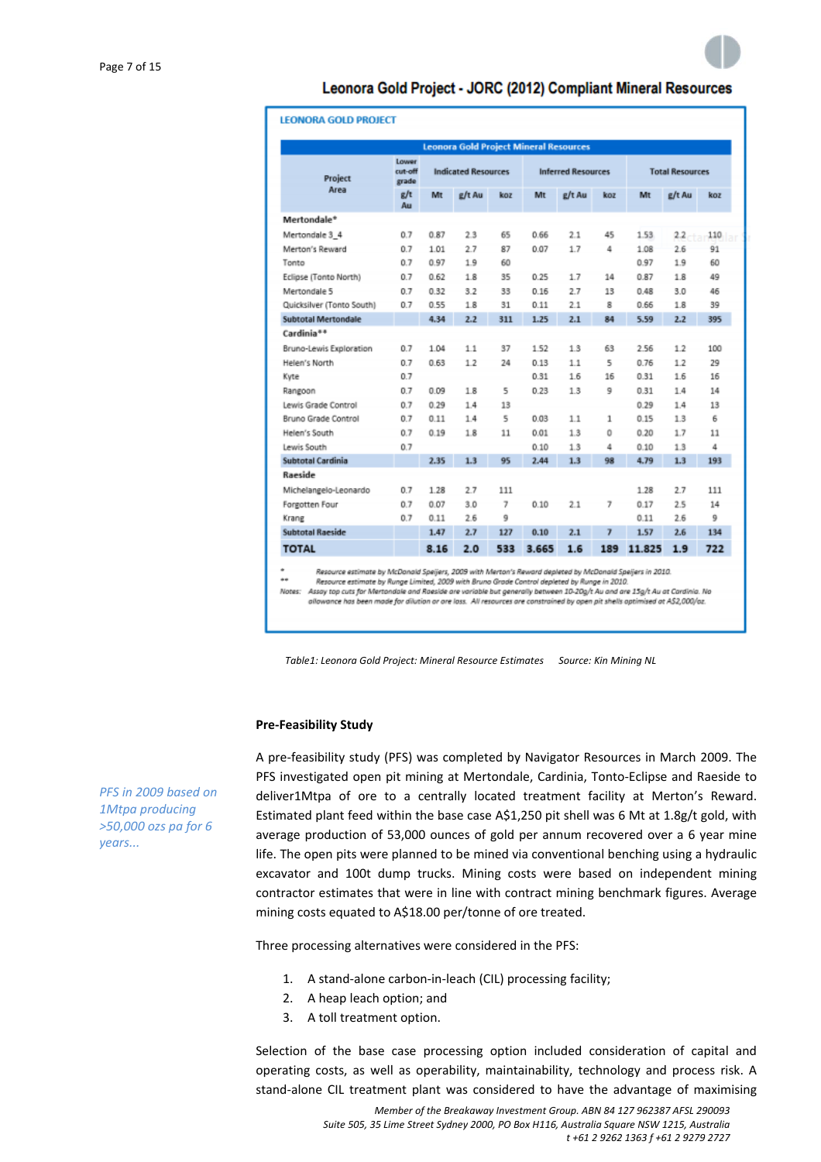# Leonora Gold Project - JORC (2012) Compliant Mineral Resources

| <b>LEONORA GOLD PROJECT</b>                   |                           |      |                            |     |                           |        |     |                        |        |     |
|-----------------------------------------------|---------------------------|------|----------------------------|-----|---------------------------|--------|-----|------------------------|--------|-----|
| <b>Leonora Gold Project Mineral Resources</b> |                           |      |                            |     |                           |        |     |                        |        |     |
| Project<br>Area                               | Lower<br>cut-off<br>grade |      | <b>Indicated Resources</b> |     | <b>Inferred Resources</b> |        |     | <b>Total Resources</b> |        |     |
|                                               | g/t<br>Au                 | Mt   | g/t Au                     | koz | Mt                        | g/t Au | koz | Mt                     | g/t Au | koz |
| Mertondale*                                   |                           |      |                            |     |                           |        |     |                        |        |     |
| Mertondale 3 4                                | 0.7                       | 0.87 | 2.3                        | 65  | 0.66                      | 2.1    | 45  | 1.53                   | 2.2.   | 110 |
| Merton's Reward                               | 0.7                       | 1.01 | 2.7                        | 87  | 0.07                      | 1.7    | 4   | 1.08                   | 2.6    | 91  |
| Tonto                                         | 0.7                       | 0.97 | 1.9                        | 60  |                           |        |     | 0.97                   | 1.9    | 60  |
| Eclipse (Tonto North)                         | 0.7                       | 0.62 | 1.8                        | 35  | 0.25                      | 1.7    | 14  | 0.87                   | 1.8    | 49  |
| Mertondale 5                                  | 0.7                       | 0.32 | 3.2                        | 33  | 0.16                      | 2.7    | 13  | 0.48                   | 3.0    | 46  |
| Quicksilver (Tonto South)                     | 0.7                       | 0.55 | 1.8                        | 31  | 0.11                      | 2.1    | 8   | 0.66                   | 1.8    | 39  |
| <b>Subtotal Mertondale</b>                    |                           | 4.34 | 2.2                        | 311 | 1.25                      | 2.1    | 84  | 5.59                   | 2.2    | 395 |
| Cardinia <sup>84</sup>                        |                           |      |                            |     |                           |        |     |                        |        |     |
| Bruno-Lewis Exploration                       | 0.7                       | 1.04 | 1.1                        | 37  | 1.52                      | 1.3    | 63  | 2.56                   | 1.2    | 100 |
| Helen's North                                 | 0.7                       | 0.63 | 1.2                        | 24  | 0.13                      | 1.1    | 5   | 0.76                   | 1.2    | 29  |
| Kyte                                          | 0.7                       |      |                            |     | 0.31                      | 1.6    | 16  | 0.31                   | 1.6    | 16  |
| Rangoon                                       | 0.7                       | 0.09 | 1.8                        | 5   | 0.23                      | 1.3    | 9   | 0.31                   | 1.4    | 14  |
| Lewis Grade Control                           | 0.7                       | 0.29 | 1.4                        | 13  |                           |        |     | 0.29                   | 1.4    | 13  |
| Bruno Grade Control                           | 0.7                       | 0.11 | 1.4                        | 5   | 0.03                      | 1.1    | 1   | 0.15                   | 1.3    | 6   |
| Helen's South                                 | 0.7                       | 0.19 | 1.8                        | 11  | 0.01                      | 1.3    | Ō   | 0.20                   | 1.7    | 11  |
| Lewis South                                   | 0.7                       |      |                            |     | 0.10                      | 1.3    | 4   | 0.10                   | 1.3    | 4   |
| Subtotal Cardinia                             |                           | 2.35 | 1.3                        | 95  | 2.44                      | 1.3    | 98  | 4.79                   | 1.3    | 193 |
| Raeside                                       |                           |      |                            |     |                           |        |     |                        |        |     |
| Michelangelo-Leonardo                         | 0.7                       | 1.28 | 2.7                        | 111 |                           |        |     | 1.28                   | 2.7    | 111 |
| Forgotten Four                                | 0.7                       | 0.07 | 3.0                        | 7   | 0.10                      | 2.1    | 7   | 0.17                   | 2.5    | 14  |
| Krang                                         | 0.7                       | 0.11 | 2.6                        | 9   |                           |        |     | 0.11                   | 2.6    | 9   |
| <b>Subtotal Raeside</b>                       |                           | 1.47 | 2.7                        | 127 | 0.10                      | 2.1    | 7   | 1.57                   | 2.6    | 134 |
| <b>TOTAL</b>                                  |                           | 8.16 | 2.0                        | 533 | 3.665                     | 1.6    | 189 | 11.825                 | 1.9    | 722 |

Resource estimate by McDonald Speijers, 2009 with Merton's Reward depleted by McDonald Speijers in 2010.  $\ddot{\phantom{0}}$ 

Resource estimate by Runge Limited, 2009 with Bruno Grade Control depleted by Runge in 2010.

Notes: Assay top cuts for Mertondale and Raeside are variable but generally between 10-20g/t Au and are 15g/t Au at Cardinia. No<br>allowance has been made for dilution or ore loss. All resources are constrained by open pit s

*Table1: Leonora Gold Project: Mineral Resource Estimates Source: Kin Mining NL*

#### **Pre‐Feasibility Study**

A pre‐feasibility study (PFS) was completed by Navigator Resources in March 2009. The PFS investigated open pit mining at Mertondale, Cardinia, Tonto‐Eclipse and Raeside to deliver1Mtpa of ore to a centrally located treatment facility at Merton's Reward. Estimated plant feed within the base case A\$1,250 pit shell was 6 Mt at 1.8g/t gold, with average production of 53,000 ounces of gold per annum recovered over a 6 year mine life. The open pits were planned to be mined via conventional benching using a hydraulic excavator and 100t dump trucks. Mining costs were based on independent mining contractor estimates that were in line with contract mining benchmark figures. Average mining costs equated to A\$18.00 per/tonne of ore treated.

Three processing alternatives were considered in the PFS:

- 1. A stand‐alone carbon‐in‐leach (CIL) processing facility;
- 2. A heap leach option; and
- 3. A toll treatment option.

Selection of the base case processing option included consideration of capital and operating costs, as well as operability, maintainability, technology and process risk. A stand‐alone CIL treatment plant was considered to have the advantage of maximising

*PFS in 2009 based on 1Mtpa producing >50,000 ozs pa for 6 years...*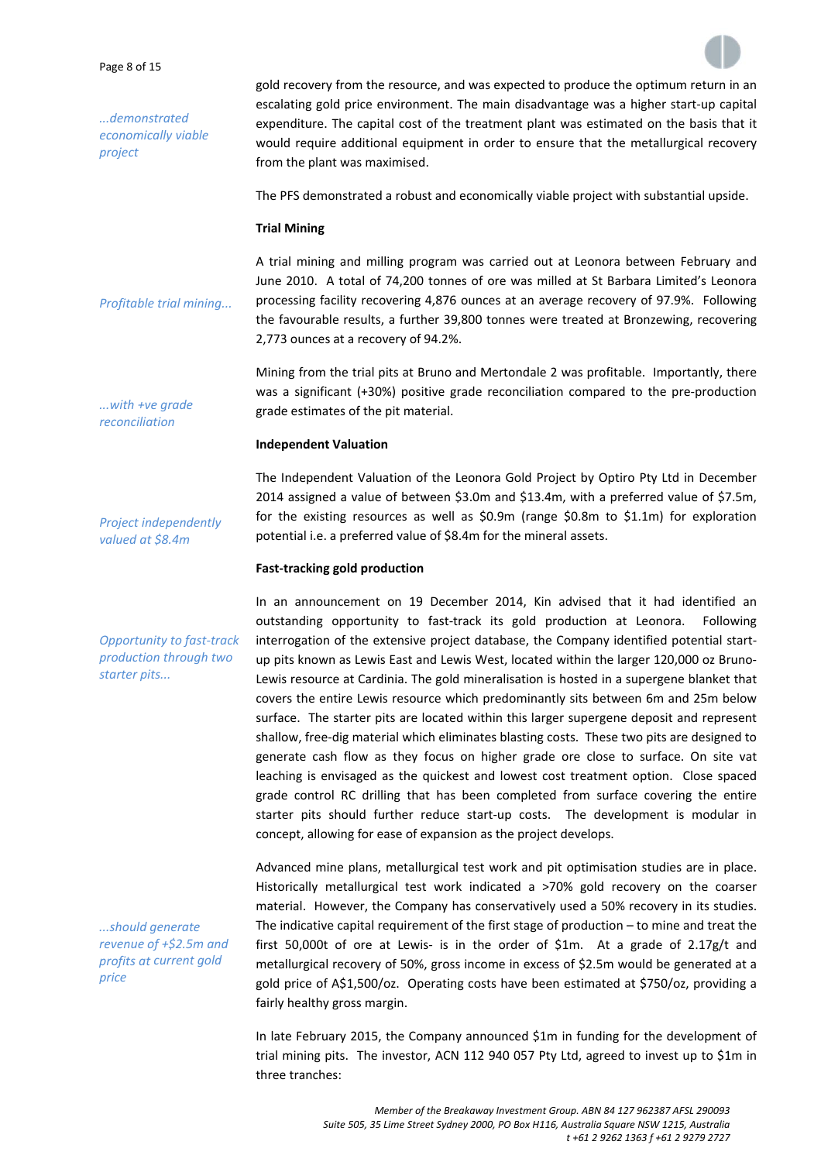Page 8 of 15

*...demonstrated economically viable project*

gold recovery from the resource, and was expected to produce the optimum return in an escalating gold price environment. The main disadvantage was a higher start‐up capital expenditure. The capital cost of the treatment plant was estimated on the basis that it would require additional equipment in order to ensure that the metallurgical recovery from the plant was maximised.

The PFS demonstrated a robust and economically viable project with substantial upside.

#### **Trial Mining**

*Profitable trial mining...* A trial mining and milling program was carried out at Leonora between February and June 2010. A total of 74,200 tonnes of ore was milled at St Barbara Limited's Leonora processing facility recovering 4,876 ounces at an average recovery of 97.9%. Following the favourable results, a further 39,800 tonnes were treated at Bronzewing, recovering 2,773 ounces at a recovery of 94.2%.

> Mining from the trial pits at Bruno and Mertondale 2 was profitable. Importantly, there was a significant (+30%) positive grade reconciliation compared to the pre-production grade estimates of the pit material.

#### **Independent Valuation**

*...with +ve grade reconciliation*

*Project independently valued at \$8.4m*

*production through two*

*starter pits...*

The Independent Valuation of the Leonora Gold Project by Optiro Pty Ltd in December 2014 assigned a value of between \$3.0m and \$13.4m, with a preferred value of \$7.5m, for the existing resources as well as \$0.9m (range \$0.8m to \$1.1m) for exploration potential i.e. a preferred value of \$8.4m for the mineral assets.

#### **Fast‐tracking gold production**

*Opportunity to fast‐track* In an announcement on 19 December 2014, Kin advised that it had identified an outstanding opportunity to fast-track its gold production at Leonora. Following interrogation of the extensive project database, the Company identified potential start‐ up pits known as Lewis East and Lewis West, located within the larger 120,000 oz Bruno‐ Lewis resource at Cardinia. The gold mineralisation is hosted in a supergene blanket that covers the entire Lewis resource which predominantly sits between 6m and 25m below surface. The starter pits are located within this larger supergene deposit and represent shallow, free‐dig material which eliminates blasting costs. These two pits are designed to generate cash flow as they focus on higher grade ore close to surface. On site vat leaching is envisaged as the quickest and lowest cost treatment option. Close spaced grade control RC drilling that has been completed from surface covering the entire starter pits should further reduce start-up costs. The development is modular in concept, allowing for ease of expansion as the project develops.

> Advanced mine plans, metallurgical test work and pit optimisation studies are in place. Historically metallurgical test work indicated a >70% gold recovery on the coarser material. However, the Company has conservatively used a 50% recovery in its studies. The indicative capital requirement of the first stage of production – to mine and treat the first 50,000t of ore at Lewis- is in the order of  $$1m$ . At a grade of  $2.17g/t$  and metallurgical recovery of 50%, gross income in excess of \$2.5m would be generated at a gold price of A\$1,500/oz. Operating costs have been estimated at \$750/oz, providing a fairly healthy gross margin.

> In late February 2015, the Company announced \$1m in funding for the development of trial mining pits. The investor, ACN 112 940 057 Pty Ltd, agreed to invest up to \$1m in three tranches:

*...should generate revenue of +\$2.5m and profits at current gold price*

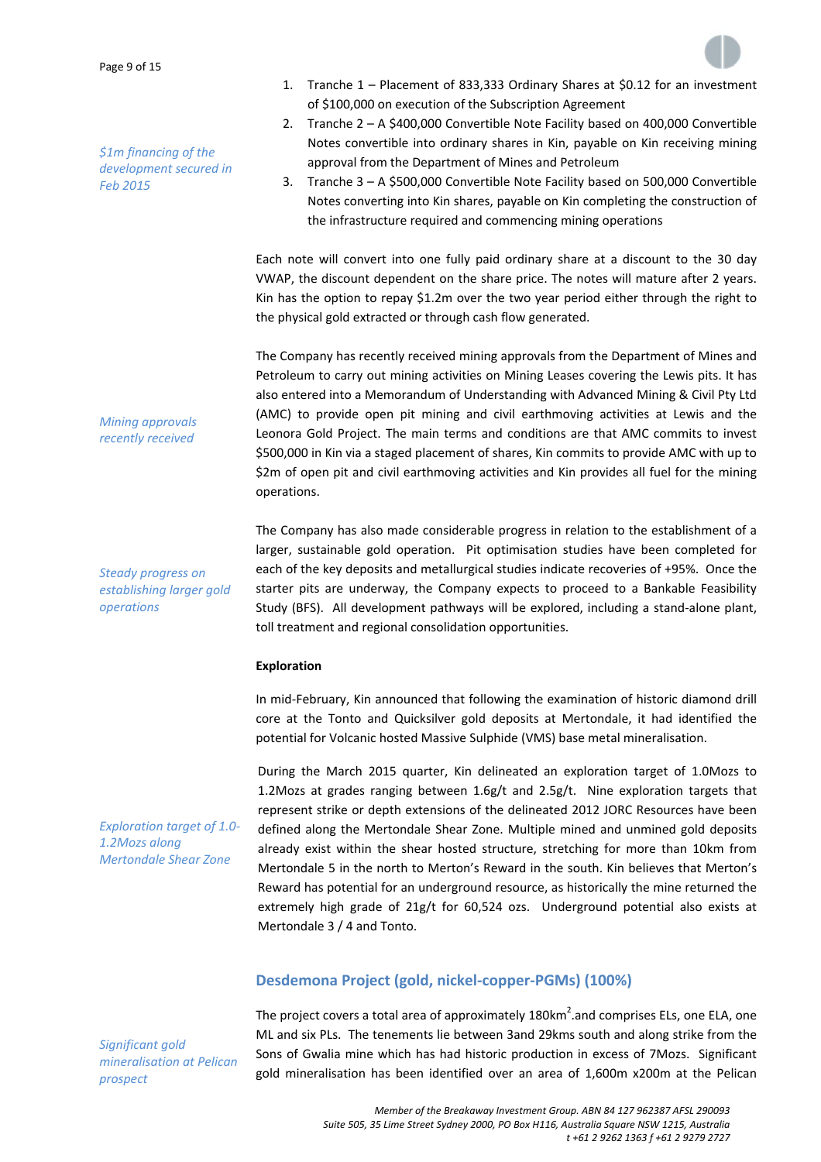*\$1m financing of the development secured in Feb 2015*



- 1. Tranche 1 Placement of 833,333 Ordinary Shares at \$0.12 for an investment of \$100,000 on execution of the Subscription Agreement
- 2. Tranche 2 A \$400,000 Convertible Note Facility based on 400,000 Convertible Notes convertible into ordinary shares in Kin, payable on Kin receiving mining approval from the Department of Mines and Petroleum
- 3. Tranche 3 A \$500,000 Convertible Note Facility based on 500,000 Convertible Notes converting into Kin shares, payable on Kin completing the construction of the infrastructure required and commencing mining operations

Each note will convert into one fully paid ordinary share at a discount to the 30 day VWAP, the discount dependent on the share price. The notes will mature after 2 years. Kin has the option to repay \$1.2m over the two year period either through the right to the physical gold extracted or through cash flow generated.

The Company has recently received mining approvals from the Department of Mines and Petroleum to carry out mining activities on Mining Leases covering the Lewis pits. It has also entered into a Memorandum of Understanding with Advanced Mining & Civil Pty Ltd (AMC) to provide open pit mining and civil earthmoving activities at Lewis and the Leonora Gold Project. The main terms and conditions are that AMC commits to invest \$500,000 in Kin via a staged placement of shares, Kin commits to provide AMC with up to \$2m of open pit and civil earthmoving activities and Kin provides all fuel for the mining operations.

The Company has also made considerable progress in relation to the establishment of a larger, sustainable gold operation. Pit optimisation studies have been completed for each of the key deposits and metallurgical studies indicate recoveries of +95%. Once the starter pits are underway, the Company expects to proceed to a Bankable Feasibility Study (BFS). All development pathways will be explored, including a stand‐alone plant, toll treatment and regional consolidation opportunities.

#### **Exploration**

In mid‐February, Kin announced that following the examination of historic diamond drill core at the Tonto and Quicksilver gold deposits at Mertondale, it had identified the potential for Volcanic hosted Massive Sulphide (VMS) base metal mineralisation.

During the March 2015 quarter, Kin delineated an exploration target of 1.0Mozs to 1.2Mozs at grades ranging between  $1.6g/t$  and  $2.5g/t$ . Nine exploration targets that represent strike or depth extensions of the delineated 2012 JORC Resources have been defined along the Mertondale Shear Zone. Multiple mined and unmined gold deposits already exist within the shear hosted structure, stretching for more than 10km from Mertondale 5 in the north to Merton's Reward in the south. Kin believes that Merton's Reward has potential for an underground resource, as historically the mine returned the extremely high grade of 21g/t for 60,524 ozs. Underground potential also exists at Mertondale 3 / 4 and Tonto.

# **Desdemona Project (gold, nickel‐copper‐PGMs) (100%)**

*Significant gold mineralisation at Pelican prospect*

The project covers a total area of approximately 180km<sup>2</sup>.and comprises ELs, one ELA, one ML and six PLs. The tenements lie between 3and 29kms south and along strike from the Sons of Gwalia mine which has had historic production in excess of 7Mozs. Significant gold mineralisation has been identified over an area of 1,600m x200m at the Pelican

*Exploration target of 1.0‐ 1.2Mozs along Mertondale Shear Zone*

# *Mining approvals recently received*

*Steady progress on establishing larger gold*

*operations*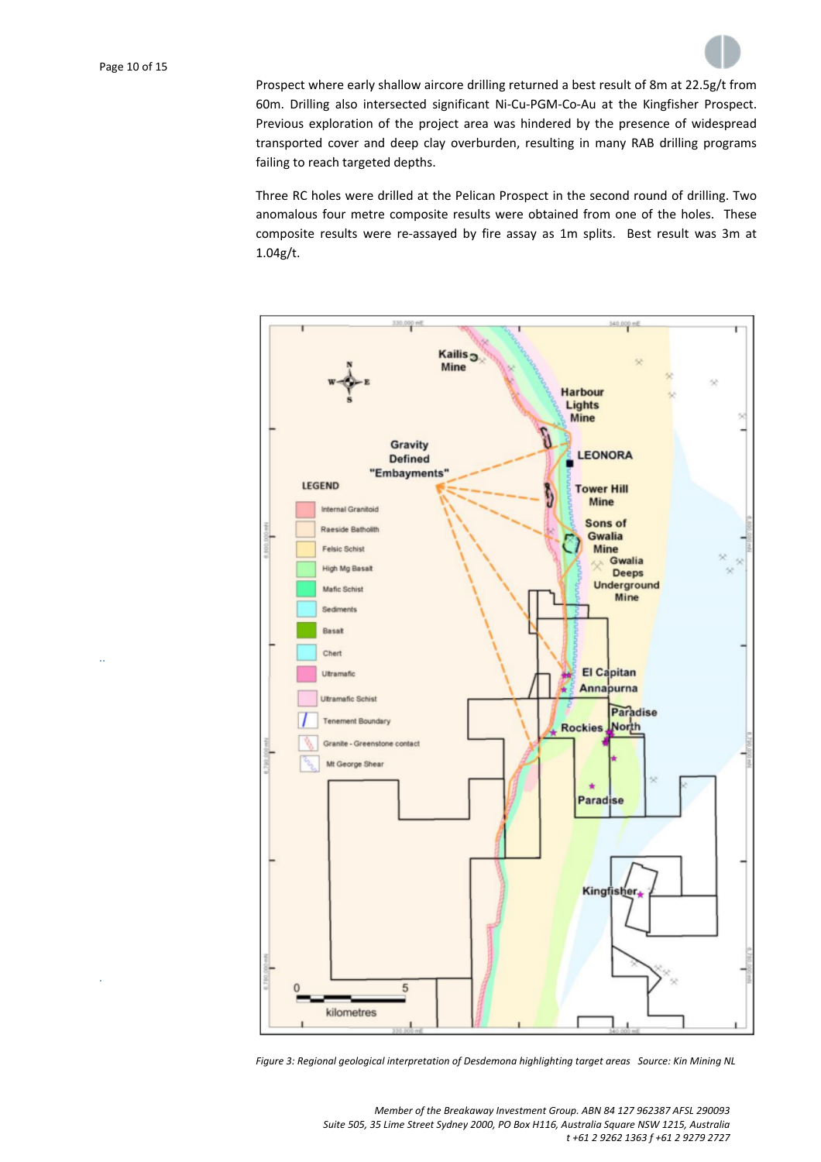*..*

*.*



Prospect where early shallow aircore drilling returned a best result of 8m at 22.5g/t from 60m. Drilling also intersected significant Ni‐Cu‐PGM‐Co‐Au at the Kingfisher Prospect. Previous exploration of the project area was hindered by the presence of widespread transported cover and deep clay overburden, resulting in many RAB drilling programs failing to reach targeted depths.

Three RC holes were drilled at the Pelican Prospect in the second round of drilling. Two anomalous four metre composite results were obtained from one of the holes. These composite results were re-assayed by fire assay as 1m splits. Best result was 3m at 1.04g/t.



*Figure 3: Regional geological interpretation of Desdemona highlighting target areas Source: Kin Mining NL*

*Member of the Breakaway Investment Group. ABN 84 127 962387 AFSL 290093 Suite 505, 35 Lime Street Sydney 2000, PO Box H116, Australia Square NSW 1215, Australia t +61 2 9262 1363 f +61 2 9279 2727*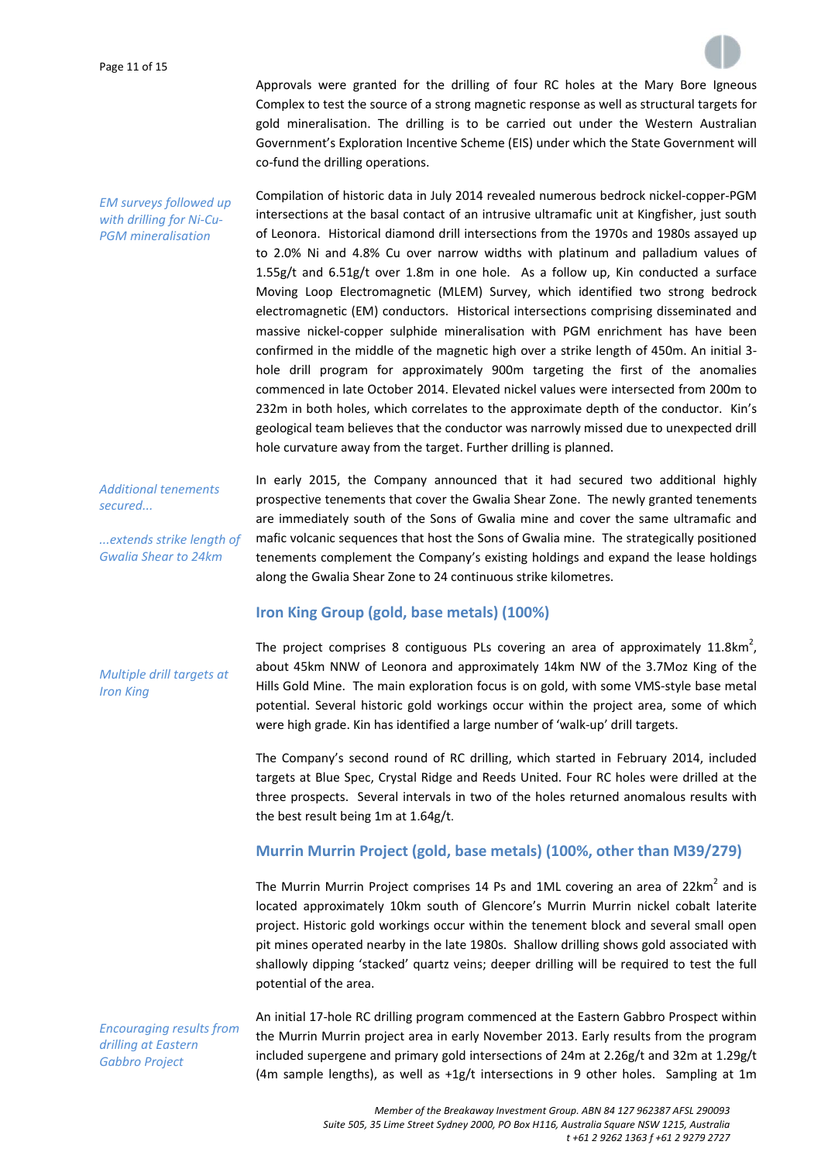

Approvals were granted for the drilling of four RC holes at the Mary Bore Igneous Complex to test the source of a strong magnetic response as well as structural targets for gold mineralisation. The drilling is to be carried out under the Western Australian Government's Exploration Incentive Scheme (EIS) under which the State Government will co-fund the drilling operations.

*EM surveys followed up with drilling for Ni‐Cu‐ PGM mineralisation* Compilation of historic data in July 2014 revealed numerous bedrock nickel‐copper‐PGM intersections at the basal contact of an intrusive ultramafic unit at Kingfisher, just south of Leonora. Historical diamond drill intersections from the 1970s and 1980s assayed up to 2.0% Ni and 4.8% Cu over narrow widths with platinum and palladium values of 1.55g/t and  $6.51g/t$  over 1.8m in one hole. As a follow up, Kin conducted a surface Moving Loop Electromagnetic (MLEM) Survey, which identified two strong bedrock electromagnetic (EM) conductors. Historical intersections comprising disseminated and massive nickel‐copper sulphide mineralisation with PGM enrichment has have been confirmed in the middle of the magnetic high over a strike length of 450m. An initial 3‐ hole drill program for approximately 900m targeting the first of the anomalies commenced in late October 2014. Elevated nickel values were intersected from 200m to 232m in both holes, which correlates to the approximate depth of the conductor. Kin's geological team believes that the conductor was narrowly missed due to unexpected drill hole curvature away from the target. Further drilling is planned.

*Additional tenements secured...*

*...extends strike length of Gwalia Shear to 24km*

In early 2015, the Company announced that it had secured two additional highly prospective tenements that cover the Gwalia Shear Zone. The newly granted tenements are immediately south of the Sons of Gwalia mine and cover the same ultramafic and mafic volcanic sequences that host the Sons of Gwalia mine. The strategically positioned tenements complement the Company's existing holdings and expand the lease holdings along the Gwalia Shear Zone to 24 continuous strike kilometres.

# **Iron King Group (gold, base metals) (100%)**

*Multiple drill targets at Iron King*

The project comprises 8 contiguous PLs covering an area of approximately 11.8km<sup>2</sup>, about 45km NNW of Leonora and approximately 14km NW of the 3.7Moz King of the Hills Gold Mine. The main exploration focus is on gold, with some VMS-style base metal potential. Several historic gold workings occur within the project area, some of which were high grade. Kin has identified a large number of 'walk‐up' drill targets.

The Company's second round of RC drilling, which started in February 2014, included targets at Blue Spec, Crystal Ridge and Reeds United. Four RC holes were drilled at the three prospects. Several intervals in two of the holes returned anomalous results with the best result being 1m at 1.64g/t.

### **Murrin Murrin Project (gold, base metals) (100%, other than M39/279)**

The Murrin Murrin Project comprises 14 Ps and 1ML covering an area of 22 $km^2$  and is located approximately 10km south of Glencore's Murrin Murrin nickel cobalt laterite project. Historic gold workings occur within the tenement block and several small open pit mines operated nearby in the late 1980s. Shallow drilling shows gold associated with shallowly dipping 'stacked' quartz veins; deeper drilling will be required to test the full potential of the area.

*Encouraging results from drilling at Eastern Gabbro Project*

An initial 17‐hole RC drilling program commenced at the Eastern Gabbro Prospect within the Murrin Murrin project area in early November 2013. Early results from the program included supergene and primary gold intersections of 24m at 2.26g/t and 32m at 1.29g/t (4m sample lengths), as well as  $+1g/t$  intersections in 9 other holes. Sampling at 1m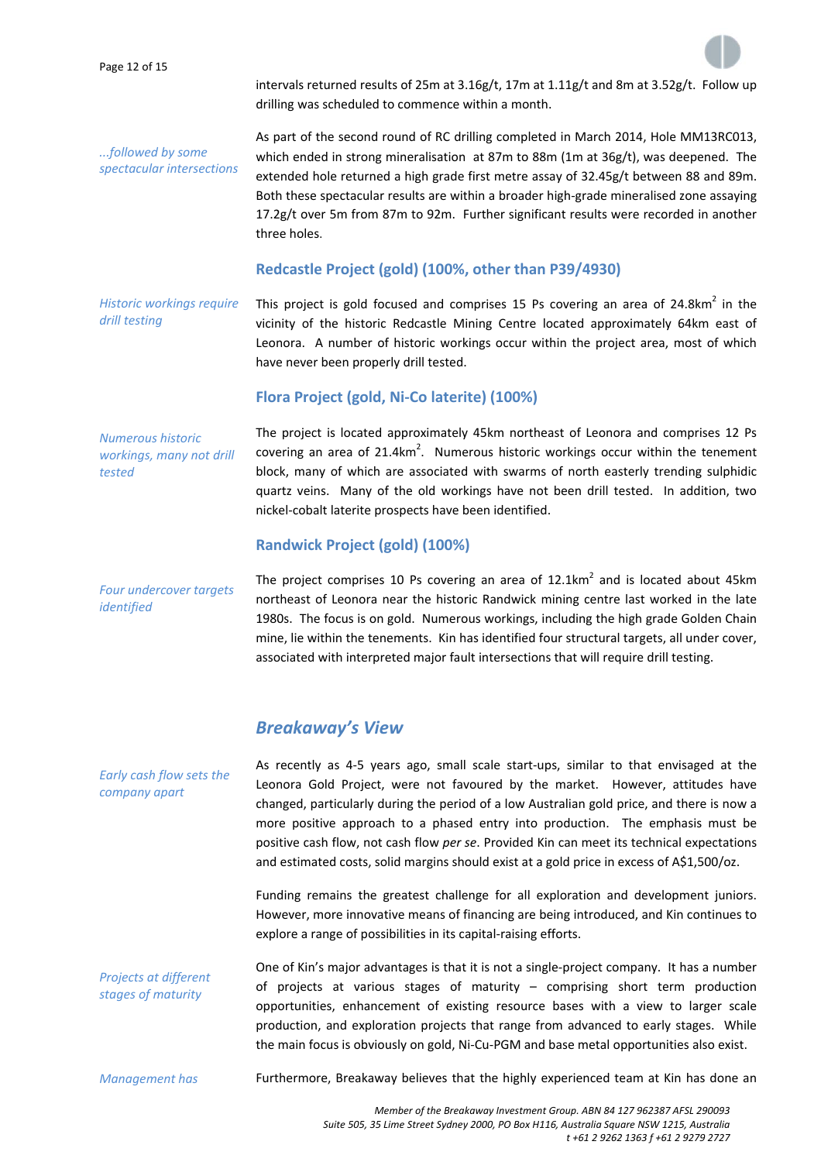Page 12 of 15

intervals returned results of 25m at  $3.16g/t$ , 17m at  $1.11g/t$  and 8m at  $3.52g/t$ . Follow up drilling was scheduled to commence within a month.

*...followed by some spectacular intersections* As part of the second round of RC drilling completed in March 2014, Hole MM13RC013, which ended in strong mineralisation at 87m to 88m (1m at 36g/t), was deepened. The extended hole returned a high grade first metre assay of 32.45g/t between 88 and 89m. Both these spectacular results are within a broader high‐grade mineralised zone assaying 17.2g/t over 5m from 87m to 92m. Further significant results were recorded in another three holes.

# **Redcastle Project (gold) (100%, other than P39/4930)**

*Historic workings require drill testing*

This project is gold focused and comprises 15 Ps covering an area of  $24.8 \text{km}^2$  in the vicinity of the historic Redcastle Mining Centre located approximately 64km east of Leonora. A number of historic workings occur within the project area, most of which have never been properly drill tested.

# **Flora Project (gold, Ni‐Co laterite) (100%)**

*Numerous historic workings, many not drill tested*

The project is located approximately 45km northeast of Leonora and comprises 12 Ps covering an area of 21.4km<sup>2</sup>. Numerous historic workings occur within the tenement block, many of which are associated with swarms of north easterly trending sulphidic quartz veins. Many of the old workings have not been drill tested. In addition, two nickel‐cobalt laterite prospects have been identified.

# **Randwick Project (gold) (100%)**

*Four undercover targets identified*

The project comprises 10 Ps covering an area of  $12.1 \text{km}^2$  and is located about 45km northeast of Leonora near the historic Randwick mining centre last worked in the late 1980s. The focus is on gold. Numerous workings, including the high grade Golden Chain mine, lie within the tenements. Kin has identified four structural targets, all under cover, associated with interpreted major fault intersections that will require drill testing.

# *Breakaway's View*

*Early cash flow sets the company apart* As recently as 4‐5 years ago, small scale start‐ups, similar to that envisaged at the Leonora Gold Project, were not favoured by the market. However, attitudes have changed, particularly during the period of a low Australian gold price, and there is now a more positive approach to a phased entry into production. The emphasis must be positive cash flow, not cash flow *per se*. Provided Kin can meet its technical expectations and estimated costs, solid margins should exist at a gold price in excess of A\$1,500/oz.

> Funding remains the greatest challenge for all exploration and development juniors. However, more innovative means of financing are being introduced, and Kin continues to explore a range of possibilities in its capital‐raising efforts.

*Projects at different stages of maturity* One of Kin's major advantages is that it is not a single‐project company. It has a number of projects at various stages of maturity – comprising short term production opportunities, enhancement of existing resource bases with a view to larger scale production, and exploration projects that range from advanced to early stages. While the main focus is obviously on gold, Ni‐Cu‐PGM and base metal opportunities also exist.

*Management has*

Furthermore, Breakaway believes that the highly experienced team at Kin has done an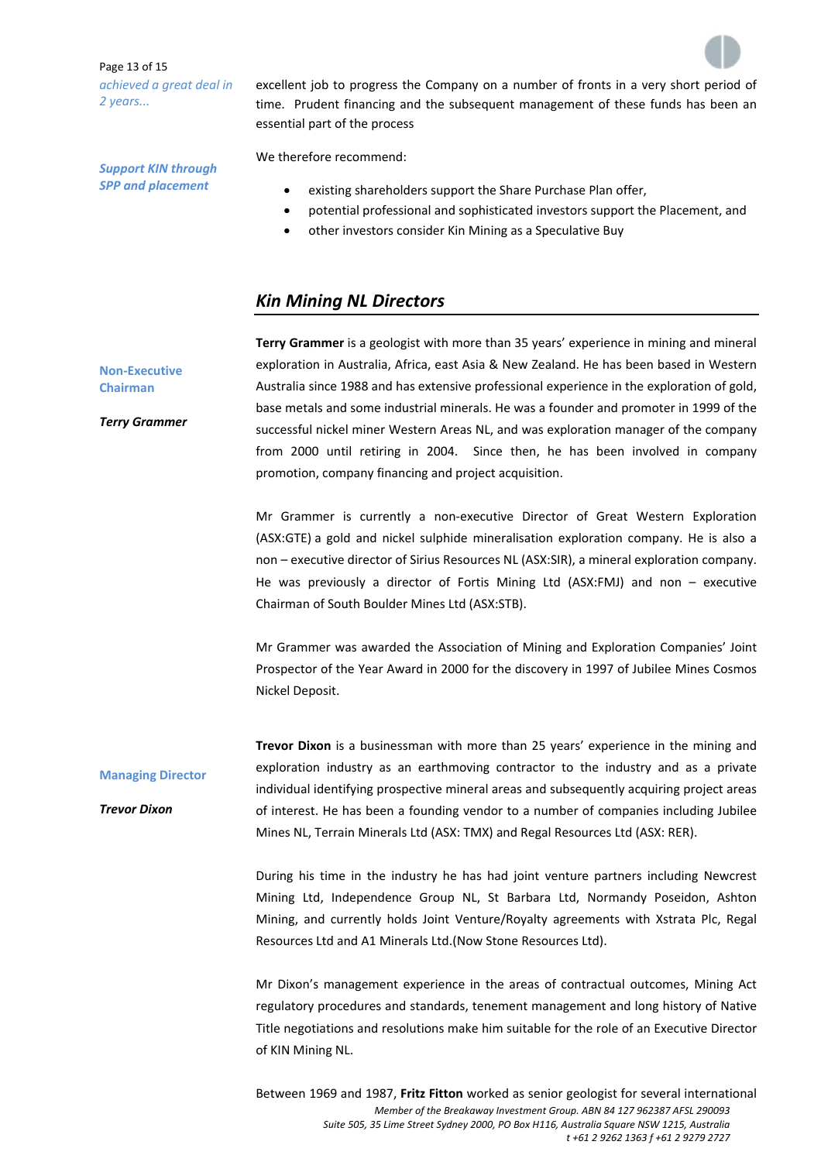Page 13 of 15 *achieved a great deal in 2 years...*

*Support KIN through SPP and placement*

excellent job to progress the Company on a number of fronts in a very short period of time. Prudent financing and the subsequent management of these funds has been an essential part of the process

We therefore recommend:

- existing shareholders support the Share Purchase Plan offer,
- potential professional and sophisticated investors support the Placement, and
- other investors consider Kin Mining as a Speculative Buy

### *Kin Mining NL Directors*

**Terry Grammer** is a geologist with more than 35 years' experience in mining and mineral exploration in Australia, Africa, east Asia & New Zealand. He has been based in Western Australia since 1988 and has extensive professional experience in the exploration of gold, base metals and some industrial minerals. He was a founder and promoter in 1999 of the successful nickel miner Western Areas NL, and was exploration manager of the company from 2000 until retiring in 2004. Since then, he has been involved in company promotion, company financing and project acquisition.

Mr Grammer is currently a non‐executive Director of Great Western Exploration (ASX:GTE) a gold and nickel sulphide mineralisation exploration company. He is also a non – executive director of Sirius Resources NL (ASX:SIR), a mineral exploration company. He was previously a director of Fortis Mining Ltd (ASX:FMJ) and non – executive Chairman of South Boulder Mines Ltd (ASX:STB).

Mr Grammer was awarded the Association of Mining and Exploration Companies' Joint Prospector of the Year Award in 2000 for the discovery in 1997 of Jubilee Mines Cosmos Nickel Deposit.

**Managing Director Trevor Dixon** is a businessman with more than 25 years' experience in the mining and exploration industry as an earthmoving contractor to the industry and as a private individual identifying prospective mineral areas and subsequently acquiring project areas of interest. He has been a founding vendor to a number of companies including Jubilee Mines NL, Terrain Minerals Ltd (ASX: TMX) and Regal Resources Ltd (ASX: RER).

> During his time in the industry he has had joint venture partners including Newcrest Mining Ltd, Independence Group NL, St Barbara Ltd, Normandy Poseidon, Ashton Mining, and currently holds Joint Venture/Royalty agreements with Xstrata Plc, Regal Resources Ltd and A1 Minerals Ltd.(Now Stone Resources Ltd).

> Mr Dixon's management experience in the areas of contractual outcomes, Mining Act regulatory procedures and standards, tenement management and long history of Native Title negotiations and resolutions make him suitable for the role of an Executive Director of KIN Mining NL.

> *Member of the Breakaway Investment Group. ABN 84 127 962387 AFSL 290093 Suite 505, 35 Lime Street Sydney 2000, PO Box H116, Australia Square NSW 1215, Australia t +61 2 9262 1363 f +61 2 9279 2727*  Between 1969 and 1987, **Fritz Fitton** worked as senior geologist for several international





**Non‐Executive Chairman**

*Terry Grammer*

*Trevor Dixon*

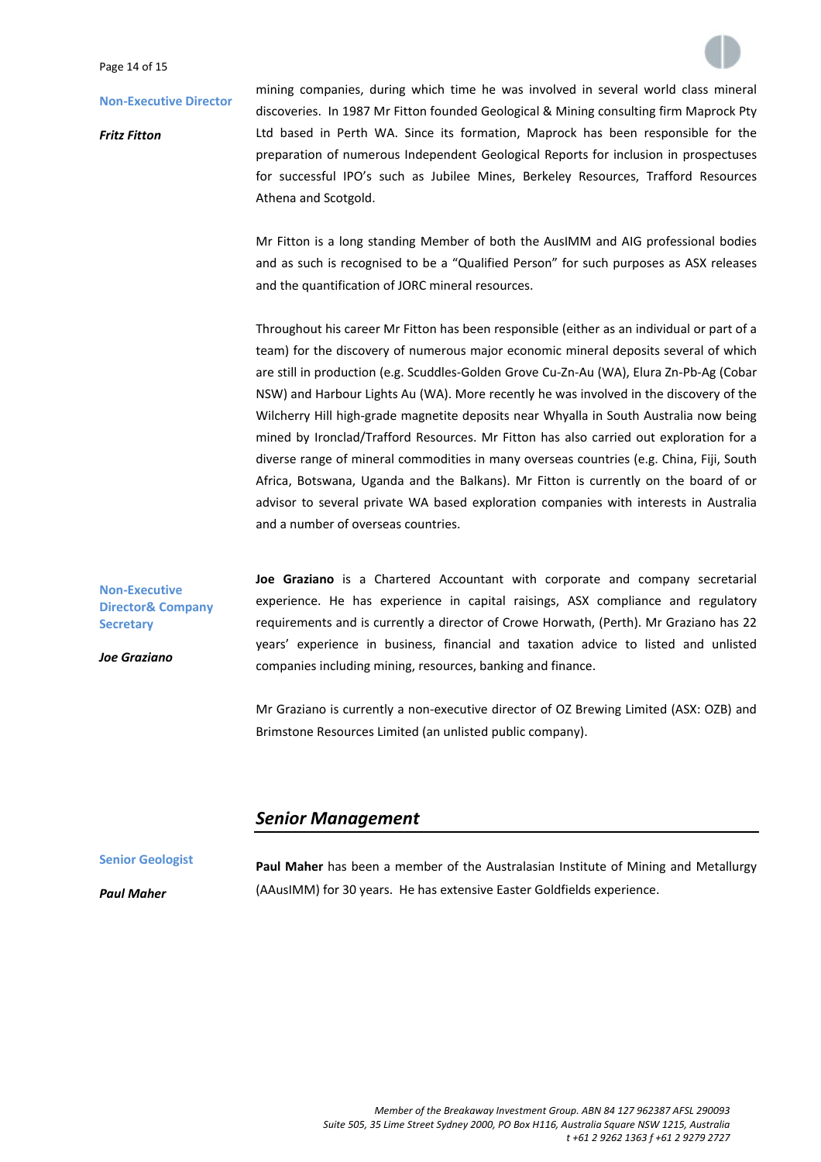#### Page 14 of 15

#### **Non‐Executive Director**

*Fritz Fitton*

**Non‐Executive Director& Company**

**Secretary**

*Joe Graziano*

mining companies, during which time he was involved in several world class mineral discoveries. In 1987 Mr Fitton founded Geological & Mining consulting firm Maprock Pty Ltd based in Perth WA. Since its formation, Maprock has been responsible for the preparation of numerous Independent Geological Reports for inclusion in prospectuses for successful IPO's such as Jubilee Mines, Berkeley Resources, Trafford Resources Athena and Scotgold.

Mr Fitton is a long standing Member of both the AusIMM and AIG professional bodies and as such is recognised to be a "Qualified Person" for such purposes as ASX releases and the quantification of JORC mineral resources.

Throughout his career Mr Fitton has been responsible (either as an individual or part of a team) for the discovery of numerous major economic mineral deposits several of which are still in production (e.g. Scuddles‐Golden Grove Cu‐Zn‐Au (WA), Elura Zn‐Pb‐Ag (Cobar NSW) and Harbour Lights Au (WA). More recently he was involved in the discovery of the Wilcherry Hill high‐grade magnetite deposits near Whyalla in South Australia now being mined by Ironclad/Trafford Resources. Mr Fitton has also carried out exploration for a diverse range of mineral commodities in many overseas countries (e.g. China, Fiji, South Africa, Botswana, Uganda and the Balkans). Mr Fitton is currently on the board of or advisor to several private WA based exploration companies with interests in Australia and a number of overseas countries.

**Joe Graziano** is a Chartered Accountant with corporate and company secretarial experience. He has experience in capital raisings, ASX compliance and regulatory requirements and is currently a director of Crowe Horwath, (Perth). Mr Graziano has 22 years' experience in business, financial and taxation advice to listed and unlisted companies including mining, resources, banking and finance.

Mr Graziano is currently a non‐executive director of OZ Brewing Limited (ASX: OZB) and Brimstone Resources Limited (an unlisted public company).

# *Senior Management*

**Senior Geologist** *Paul Maher* **Paul Maher** has been a member of the Australasian Institute of Mining and Metallurgy (AAusIMM) for 30 years. He has extensive Easter Goldfields experience.